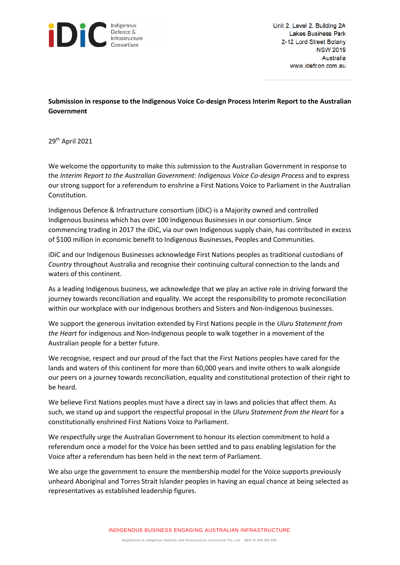

Unit 2, Level 2, Building 2A **Lakes Business Park** 2-12 Lord Street Botany **NSW 2019** Australia www.idefcon.com.au

**Submission in response to the Indigenous Voice Co-design Process Interim Report to the Australian Government**

29th April 2021

We welcome the opportunity to make this submission to the Australian Government in response to the *Interim Report to the Australian Government: Indigenous Voice Co-design Process* and to express our strong support for a referendum to enshrine a First Nations Voice to Parliament in the Australian Constitution.

Indigenous Defence & Infrastructure consortium (iDiC) is a Majority owned and controlled Indigenous business which has over 100 Indigenous Businesses in our consortium. Since commencing trading in 2017 the iDiC, via our own Indigenous supply chain, has contributed in excess of \$100 million in economic benefit to Indigenous Businesses, Peoples and Communities.

iDiC and our Indigenous Businesses acknowledge First Nations peoples as traditional custodians of *Country* throughout Australia and recognise their continuing cultural connection to the lands and waters of this continent.

As a leading Indigenous business, we acknowledge that we play an active role in driving forward the journey towards reconciliation and equality. We accept the responsibility to promote reconciliation within our workplace with our Indigenous brothers and Sisters and Non-Indigenous businesses.

We support the generous invitation extended by First Nations people in the *Uluru Statement from the Heart* for indigenous and Non-Indigenous people to walk together in a movement of the Australian people for a better future.

We recognise, respect and our proud of the fact that the First Nations peoples have cared for the lands and waters of this continent for more than 60,000 years and invite others to walk alongside our peers on a journey towards reconciliation, equality and constitutional protection of their right to be heard.

We believe First Nations peoples must have a direct say in laws and policies that affect them. As such, we stand up and support the respectful proposal in the *Uluru Statement from the Heart* for a constitutionally enshrined First Nations Voice to Parliament.

We respectfully urge the Australian Government to honour its election commitment to hold a referendum once a model for the Voice has been settled and to pass enabling legislation for the Voice after a referendum has been held in the next term of Parliament.

We also urge the government to ensure the membership model for the Voice supports previously unheard Aboriginal and Torres Strait Islander peoples in having an equal chance at being selected as representatives as established leadership figures.